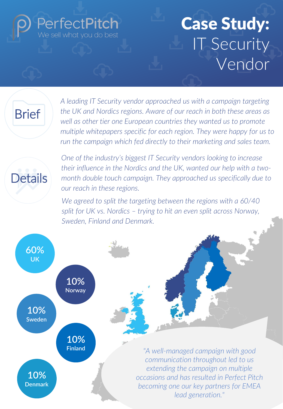# **PerfectPitch**

# **Case Study:**  IT Security Vendor

## **Brief**

*A leading IT Security vendor approached us with a campaign targeting the UK and Nordics regions. Aware of our reach in both these areas as well as other tier one European countries they wanted us to promote multiple whitepapers specific for each region. They were happy for us to run the campaign which fed directly to their marketing and sales team.* 



*One of the industry's biggest IT Security vendors looking to increase their influence in the Nordics and the UK, wanted our help with a twomonth double touch campaign. They approached us specifically due to our reach in these regions.* 

*We agreed to split the targeting between the regions with a 60/40 split for UK vs. Nordics – trying to hit an even split across Norway, Sweden, Finland and Denmark.* 

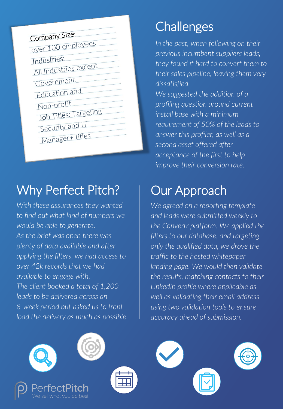| Company Size:         |
|-----------------------|
| over 100 employees    |
| Industries:           |
| All Industries except |
| Government,           |
| <b>Education and</b>  |
| Non-profit            |
| Job Titles: Targeting |
| Security and IT       |
| Manager+ titles       |

#### Why Perfect Pitch?

*With these assurances they wanted to find out what kind of numbers we would be able to generate. As the brief was open there was plenty of data available and after applying the filters, we had access to over 42k records that we had available to engage with. The client booked a total of 1,200 leads to be delivered across an 8-week period but asked us to front load the delivery as much as possible.* 

### **Challenges**

*In the past, when following on their previous incumbent suppliers leads, they found it hard to convert them to their sales pipeline, leaving them very dissatisfied. We suggested the addition of a profiling question around current install base with a minimum requirement of 50% of the leads to answer this profiler, as well as a* 

*second asset offered after acceptance of the first to help improve their conversion rate.*

### Our Approach

*We agreed on a reporting template and leads were submitted weekly to the Convertr platform. We applied the filters to our database, and targeting only the qualified data, we drove the traffic to the hosted whitepaper landing page. We would then validate the results, matching contacts to their LinkedIn profile where applicable as well as validating their email address using two validation tools to ensure accuracy ahead of submission.*